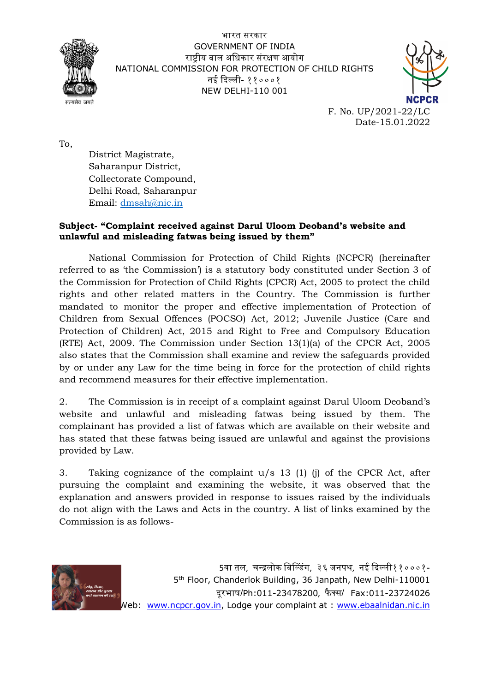

भारत सरकार GOVERNMENT OF INDIA राष्ट्रीय बाल अधिकार संरक्षण आयोग NATIONAL COMMISSION FOR PROTECTION OF CHILD RIGHTS नई दिल्ली- ११०००१ $\,$ NEW DELHI-110 001



F. No. UP/2021-22/LC Date-15.01.2022

To,

District Magistrate, Saharanpur District, Collectorate Compound, Delhi Road, Saharanpur Email: dmsah@nic.in

## **Subject- "Complaint received against Darul Uloom Deoband's website and unlawful and misleading fatwas being issued by them"**

National Commission for Protection of Child Rights (NCPCR) (hereinafter referred to as 'the Commission') is a statutory body constituted under Section 3 of the Commission for Protection of Child Rights (CPCR) Act, 2005 to protect the child rights and other related matters in the Country. The Commission is further mandated to monitor the proper and effective implementation of Protection of Children from Sexual Offences (POCSO) Act, 2012; Juvenile Justice (Care and Protection of Children) Act, 2015 and Right to Free and Compulsory Education (RTE) Act, 2009. The Commission under Section 13(1)(a) of the CPCR Act, 2005 also states that the Commission shall examine and review the safeguards provided by or under any Law for the time being in force for the protection of child rights and recommend measures for their effective implementation.

2. The Commission is in receipt of a complaint against Darul Uloom Deoband's website and unlawful and misleading fatwas being issued by them. The complainant has provided a list of fatwas which are available on their website and has stated that these fatwas being issued are unlawful and against the provisions provided by Law.

3. Taking cognizance of the complaint u/s 13 (1) (j) of the CPCR Act, after pursuing the complaint and examining the website, it was observed that the explanation and answers provided in response to issues raised by the individuals do not align with the Laws and Acts in the country. A list of links examined by the Commission is as follows-



 $5$ वा तल. चन्द्रलोक बिल्डिंग. ३६ जनपथ. नई दिल्ली११०००१-5th Floor, Chanderlok Building, 36 Janpath, New Delhi-110001 दरभाष/Ph:011-23478200, फैक्स/ Fax:011-23724026 Web: www.ncpcr.gov.in, Lodge your complaint at: www.ebaalnidan.nic.in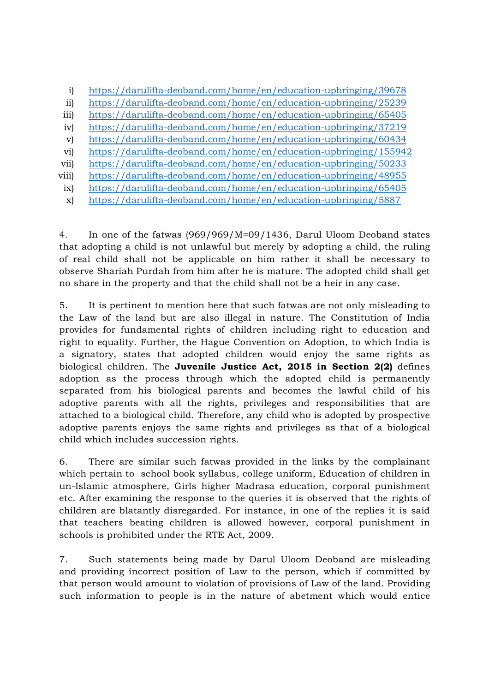- i) https://darulifta-deoband.com/home/en/education-upbringing/39678
- ii) https://darulifta-deoband.com/home/en/education-upbringing/25239
- iii) https://darulifta-deoband.com/home/en/education-upbringing/65405
- iv) https://darulifta-deoband.com/home/en/education-upbringing/37219
- v) https://darulifta-deoband.com/home/en/education-upbringing/60434
- vi) https://darulifta-deoband.com/home/en/education-upbringing/155942
- vii) https://darulifta-deoband.com/home/en/education-upbringing/50233
- viii) https://darulifta-deoband.com/home/en/education-upbringing/48955
- ix) https://darulifta-deoband.com/home/en/education-upbringing/65405
- x) https://darulifta-deoband.com/home/en/education-upbringing/5887

4. In one of the fatwas (969/969/M=09/1436, Darul Uloom Deoband states that adopting a child is not unlawful but merely by adopting a child, the ruling of real child shall not be applicable on him rather it shall be necessary to observe Shariah Purdah from him after he is mature. The adopted child shall get no share in the property and that the child shall not be a heir in any case.

5. It is pertinent to mention here that such fatwas are not only misleading to the Law of the land but are also illegal in nature. The Constitution of India provides for fundamental rights of children including right to education and right to equality. Further, the Hague Convention on Adoption, to which India is a signatory, states that adopted children would enjoy the same rights as biological children. The **Juvenile Justice Act, 2015 in Section 2(2)** defines adoption as the process through which the adopted child is permanently separated from his biological parents and becomes the lawful child of his adoptive parents with all the rights, privileges and responsibilities that are attached to a biological child. Therefore, any child who is adopted by prospective adoptive parents enjoys the same rights and privileges as that of a biological child which includes succession rights.

6. There are similar such fatwas provided in the links by the complainant which pertain to school book syllabus, college uniform, Education of children in un-Islamic atmosphere, Girls higher Madrasa education, corporal punishment etc. After examining the response to the queries it is observed that the rights of children are blatantly disregarded. For instance, in one of the replies it is said that teachers beating children is allowed however, corporal punishment in schools is prohibited under the RTE Act, 2009.

7. Such statements being made by Darul Uloom Deoband are misleading and providing incorrect position of Law to the person, which if committed by that person would amount to violation of provisions of Law of the land. Providing such information to people is in the nature of abetment which would entice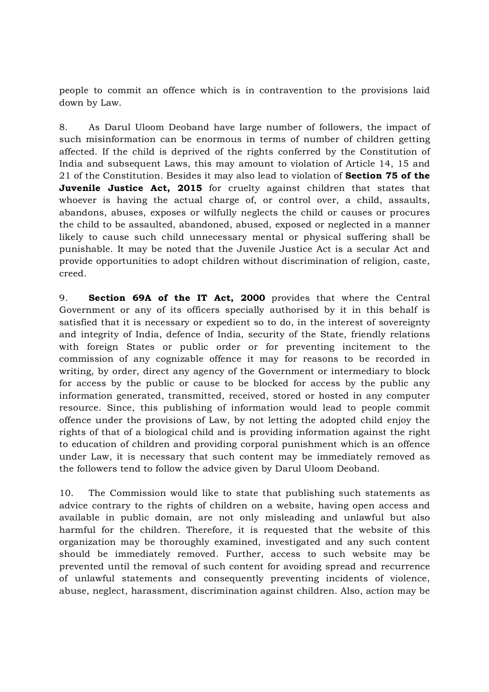people to commit an offence which is in contravention to the provisions laid down by Law.

8. As Darul Uloom Deoband have large number of followers, the impact of such misinformation can be enormous in terms of number of children getting affected. If the child is deprived of the rights conferred by the Constitution of India and subsequent Laws, this may amount to violation of Article 14, 15 and 21 of the Constitution. Besides it may also lead to violation of **Section 75 of the Juvenile Justice Act, 2015** for cruelty against children that states that whoever is having the actual charge of, or control over, a child, assaults, abandons, abuses, exposes or wilfully neglects the child or causes or procures the child to be assaulted, abandoned, abused, exposed or neglected in a manner likely to cause such child unnecessary mental or physical suffering shall be punishable. It may be noted that the Juvenile Justice Act is a secular Act and provide opportunities to adopt children without discrimination of religion, caste, creed.

9. **Section 69A of the IT Act, 2000** provides that where the Central Government or any of its officers specially authorised by it in this behalf is satisfied that it is necessary or expedient so to do, in the interest of sovereignty and integrity of India, defence of India, security of the State, friendly relations with foreign States or public order or for preventing incitement to the commission of any cognizable offence it may for reasons to be recorded in writing, by order, direct any agency of the Government or intermediary to block for access by the public or cause to be blocked for access by the public any information generated, transmitted, received, stored or hosted in any computer resource. Since, this publishing of information would lead to people commit offence under the provisions of Law, by not letting the adopted child enjoy the rights of that of a biological child and is providing information against the right to education of children and providing corporal punishment which is an offence under Law, it is necessary that such content may be immediately removed as the followers tend to follow the advice given by Darul Uloom Deoband.

10. The Commission would like to state that publishing such statements as advice contrary to the rights of children on a website, having open access and available in public domain, are not only misleading and unlawful but also harmful for the children. Therefore, it is requested that the website of this organization may be thoroughly examined, investigated and any such content should be immediately removed. Further, access to such website may be prevented until the removal of such content for avoiding spread and recurrence of unlawful statements and consequently preventing incidents of violence, abuse, neglect, harassment, discrimination against children. Also, action may be